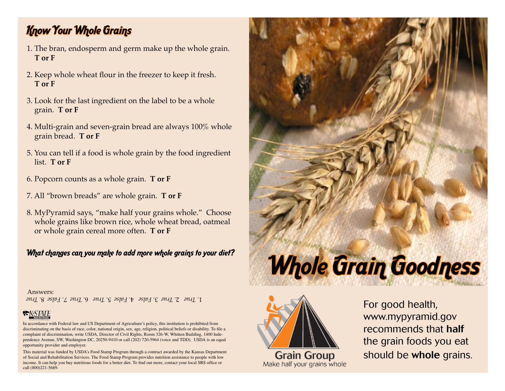### Know Your Whole Grains

- 1. The bran, endosperm and germ make up the whole grain. **T or F**
- 2. Keep whole wheat flour in the freezer to keep it fresh.  **T or F**
- 3. Look for the last ingredient on the label to be a whole grain. **T or F**
- 4. Multi-grain and seven-grain bread are always 100% whole grain bread. **T or F**
- 5. You can tell if a food is whole grain by the food ingredient list. **T or F**
- 6. Popcorn counts as a whole grain. **T or F**
- 7. All "brown breads" are whole grain. **T or F**
- 8. MyPyramid says, "make half your grains whole." Choose whole grains like brown rice, whole wheat bread, oatmeal or whole grain cereal more often. **T or F**

#### What changes can you make to add more whole grains to your diet?

#### Answers:

*True* 8. *False* 7. *True* 6. *True* 5. *False* 4. *False* 3. *True* 2. *True* 1.

#### **EKSTATE**

In accordance with Federal law and US Department of Agriculture's policy, this institution is prohibited from discriminating on the basis of race, color, national origin, sex, age, religion, political beliefs or disability. To file a complaint of discrimination, write USDA, Director of Civil Rights, Room 326-W, Whitten Building, 1400 Independence Avenue, SW, Washington DC, 20250-9410 or call (202) 720-5964 (voice and TDD). USDA is an equal opportunity provider and employer.

This material was funded by USDA's Food Stamp Program through a contract awarded by the Kansas Department of Social and Rehabilitation Services. The Food Stamp Program provides nutrition assistance to people with low income. It can help you buy nutritious foods for a better diet. To find out more, contact your local SRS office or call (800)221-5689.





**Grain Group** Make half your grains whole

For good health, www.mypyramid.gov recommends that half the grain foods you eat should be whole grains.